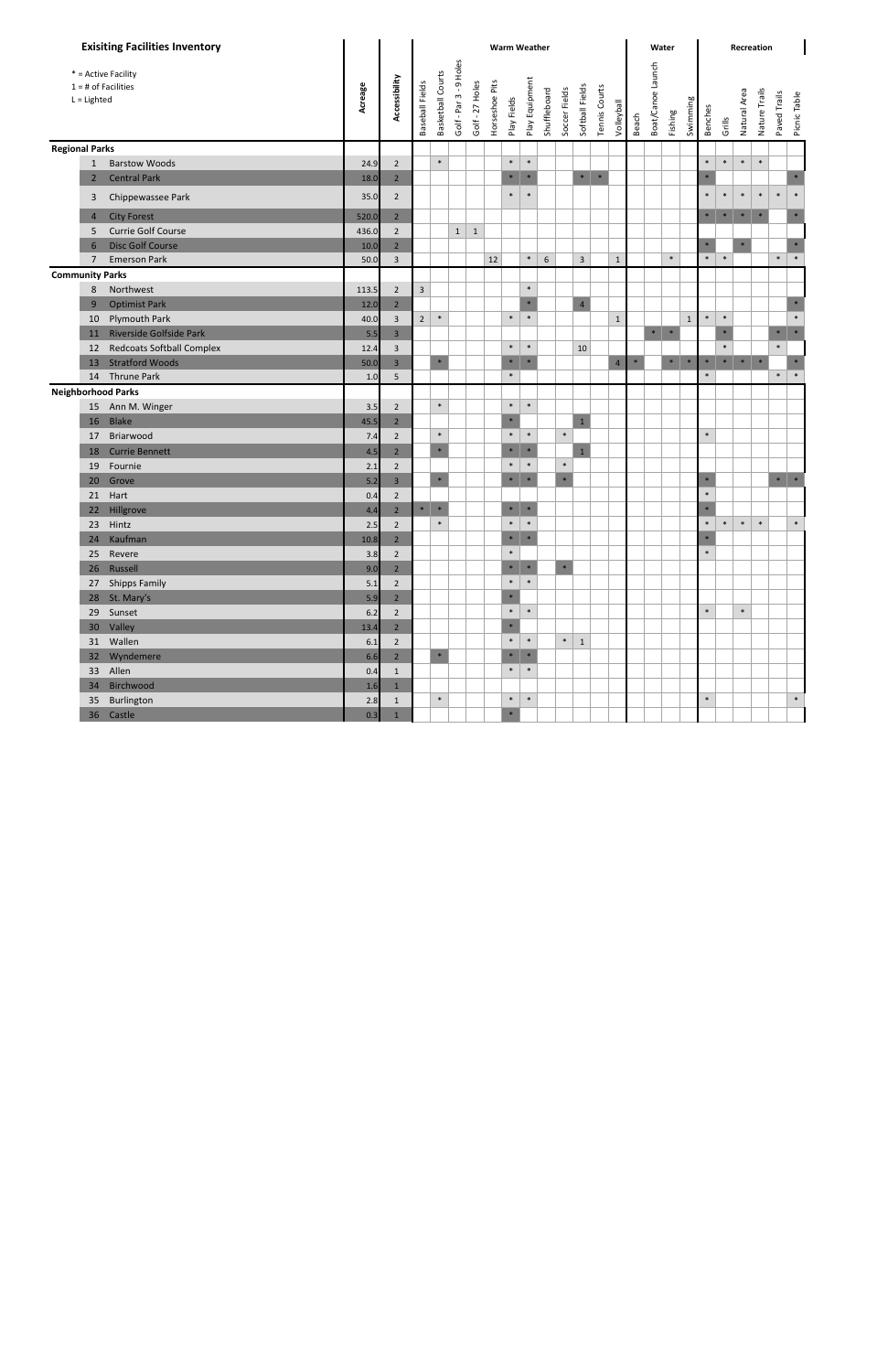|                                        | <b>Exisiting Facilities Inventory</b> |         | <b>Warm Weather</b> |                 |                   |                        |                 |                |                       |                |              |               |                                  | Recreation<br>Water |        |                   |         |             |                |        |              |               |              |                       |
|----------------------------------------|---------------------------------------|---------|---------------------|-----------------|-------------------|------------------------|-----------------|----------------|-----------------------|----------------|--------------|---------------|----------------------------------|---------------------|--------|-------------------|---------|-------------|----------------|--------|--------------|---------------|--------------|-----------------------|
| $1 = #$ of Facilities<br>$L =$ Lighted | * = Active Facility                   | Acreage | Accessibility       | Baseball Fields | Basketball Courts | Golf - Par 3 - 9 Holes | Golf - 27 Holes | Horseshoe Pits | Play Fields           | Play Equipment | Shuffleboard | Soccer Fields | Softball Fields<br>Tennis Courts | Volleyball          | Beach  | Boat/Canoe Launch | Fishing | Swimming    | <b>Benches</b> | Grills | Natural Area | Nature Trails | Paved Trails | Picnic Table          |
| <b>Regional Parks</b>                  |                                       |         |                     |                 |                   |                        |                 |                |                       |                |              |               |                                  |                     |        |                   |         |             |                |        |              |               |              |                       |
| $\mathbf{1}$                           | <b>Barstow Woods</b>                  | 24.9    | $\overline{2}$      |                 | $\ast$            |                        |                 |                | $\ast$                | $\ast$         |              |               |                                  |                     |        |                   |         |             | $\ast$         | $\ast$ | $\ast$       | $\ast$        |              |                       |
| $\overline{2}$                         | <b>Central Park</b>                   | 18.0    | $\overline{2}$      |                 |                   |                        |                 |                | $\ast$                | $\ast$         |              |               | $\ast$<br>$\ast$                 |                     |        |                   |         |             |                |        |              |               |              | $\ast$                |
| 3                                      | Chippewassee Park                     | 35.0    | $\overline{2}$      |                 |                   |                        |                 |                | $\ast$                | $\ast$         |              |               |                                  |                     |        |                   |         |             | $\ast$         | $\ast$ | $\ast$       | $\ast$        | $\ast$       | $\ast$                |
| 4                                      | <b>City Forest</b>                    | 520.0   | $\overline{2}$      |                 |                   |                        |                 |                |                       |                |              |               |                                  |                     |        |                   |         |             | $\ast$         | $\ast$ | $\ast$       | $\ast$        |              | $\ast$                |
| 5                                      | Currie Golf Course                    | 436.0   | $\overline{2}$      |                 |                   | $\mathbf{1}$           | $\mathbf 1$     |                |                       |                |              |               |                                  |                     |        |                   |         |             |                |        |              |               |              |                       |
| 6                                      | <b>Disc Golf Course</b>               | 10.0    | $\overline{2}$      |                 |                   |                        |                 |                |                       |                |              |               |                                  |                     |        |                   |         |             | $*$            |        | $\ast$       |               |              | $\ast$                |
| $\overline{7}$                         | <b>Emerson Park</b>                   | 50.0    | $\mathbf{3}$        |                 |                   |                        |                 | 12             |                       | $\ast$         | $6\,$        |               | $\overline{3}$                   | $\mathbf{1}$        |        |                   | $\ast$  |             | $\ast$         | $\ast$ |              |               | $\ast$       | $\ast$                |
| <b>Community Parks</b>                 |                                       |         |                     |                 |                   |                        |                 |                |                       |                |              |               |                                  |                     |        |                   |         |             |                |        |              |               |              |                       |
| 8                                      | Northwest                             | 113.5   | $\overline{2}$      | $\mathbf{3}$    |                   |                        |                 |                |                       | $\ast$         |              |               |                                  |                     |        |                   |         |             |                |        |              |               |              |                       |
| 9                                      | <b>Optimist Park</b>                  | 12.0    | $\overline{2}$      |                 |                   |                        |                 |                |                       | $\ast$         |              |               | $\overline{4}$                   |                     |        |                   |         |             |                |        |              |               |              | $\ast$                |
| 10                                     | Plymouth Park                         | 40.0    | $\overline{3}$      | $\overline{2}$  | $\ast$            |                        |                 |                | $\ast$                | $\ast$         |              |               |                                  | $\mathbf{1}$        |        |                   |         | $\mathbf 1$ | $\ast$         | $\ast$ |              |               |              | $\ast$                |
| 11                                     | Riverside Golfside Park               | 5.5     | $\overline{3}$      |                 |                   |                        |                 |                |                       |                |              |               |                                  |                     |        | $\ast$            | $\ast$  |             |                | $\ast$ |              |               | $\ast$       | $\;$ $\;$             |
| 12                                     | <b>Redcoats Softball Complex</b>      | 12.4    | 3                   |                 |                   |                        |                 |                | $\ast$                | $\ast$         |              |               | 10                               |                     |        |                   |         |             |                | $\ast$ |              |               | $\ast$       |                       |
| 13                                     | <b>Stratford Woods</b>                | 50.0    | $\overline{3}$      |                 | $\ast$            |                        |                 |                | $\ast$                | $\ast$         |              |               |                                  | $\overline{4}$      | $\ast$ |                   | $\ast$  | $\ast$      | $\ast$         | $\ast$ | $\ast$       | $\ast$        |              |                       |
| 14                                     | Thrune Park                           | 1.0     | 5                   |                 |                   |                        |                 |                | $\ast$                |                |              |               |                                  |                     |        |                   |         |             | $\ast$         |        |              |               | $\ast$       | $\ast$                |
| <b>Neighborhood Parks</b>              |                                       |         |                     |                 |                   |                        |                 |                |                       |                |              |               |                                  |                     |        |                   |         |             |                |        |              |               |              |                       |
| 15                                     | Ann M. Winger                         | 3.5     | $\overline{2}$      |                 | $\ast$            |                        |                 |                | $\ast$                | $\ast$         |              |               |                                  |                     |        |                   |         |             |                |        |              |               |              |                       |
| 16                                     | Blake                                 | 45.5    | $\overline{2}$      |                 |                   |                        |                 |                | $\ast$                |                |              |               | $\mathbf 1$                      |                     |        |                   |         |             |                |        |              |               |              |                       |
| 17                                     | Briarwood                             | 7.4     | $\overline{2}$      |                 | $\ast$            |                        |                 |                | $\ast$                | $\ast$         |              | $\ast$        |                                  |                     |        |                   |         |             | $\ast$         |        |              |               |              |                       |
| 18                                     | <b>Currie Bennett</b>                 | 4.5     | $\overline{2}$      |                 | $\ast$            |                        |                 |                | $\ast$                | $\ast$         |              |               | $\mathbf{1}$                     |                     |        |                   |         |             |                |        |              |               |              |                       |
| 19                                     | Fournie                               | 2.1     | $\overline{2}$      |                 |                   |                        |                 |                | $\ast$                | $\ast$         |              | $\ast$        |                                  |                     |        |                   |         |             |                |        |              |               |              |                       |
| 20                                     | Grove                                 | 5.2     | $\overline{3}$      |                 | $\ast$            |                        |                 |                | $\ast$                | $\ast$         |              | $\ast$        |                                  |                     |        |                   |         |             |                |        |              |               |              | $\ast$ $\quad$ $\ast$ |
| 21                                     | Hart                                  | 0.4     | $\overline{2}$      |                 |                   |                        |                 |                |                       |                |              |               |                                  |                     |        |                   |         |             | $\ast$         |        |              |               |              |                       |
| 22                                     | Hillgrove                             | 4.4     | $\overline{2}$      | $\ast$          | $\ast$            |                        |                 |                | $\ast$                | $\ast$         |              |               |                                  |                     |        |                   |         |             |                |        |              |               |              |                       |
| 23                                     | Hintz                                 | 2.5     | $\overline{2}$      |                 | $\ast$            |                        |                 |                | $\ast$                | $\ast$         |              |               |                                  |                     |        |                   |         |             | $\ast$         | $\ast$ | $\ast$       | $\ast$        |              | $\ast$                |
|                                        | 24 Kaufman                            | 10.8    | $\overline{2}$      |                 |                   |                        |                 |                | $\ast$                | $\ast$         |              |               |                                  |                     |        |                   |         |             | $\ast$         |        |              |               |              |                       |
|                                        | 25 Revere                             | 3.8     | $\overline{2}$      |                 |                   |                        |                 |                | $\ast$                |                |              |               |                                  |                     |        |                   |         |             | $\ast$         |        |              |               |              |                       |
|                                        | 26 Russell                            | 9.0     | $2^{\circ}$         |                 |                   |                        |                 |                | $\ast$ $\quad$ $\ast$ |                |              | $\ast$        |                                  |                     |        |                   |         |             |                |        |              |               |              |                       |
|                                        | 27 Shipps Family                      | 5.1     | $\overline{2}$      |                 |                   |                        |                 |                | $\ast$                | $\ast$         |              |               |                                  |                     |        |                   |         |             |                |        |              |               |              |                       |
|                                        | 28 St. Mary's                         | 5.9     | $2^{\circ}$         |                 |                   |                        |                 |                | $\ast$                |                |              |               |                                  |                     |        |                   |         |             |                |        |              |               |              |                       |
|                                        | 29 Sunset                             | 6.2     | $2^{\circ}$         |                 |                   |                        |                 |                | $\ast$                | $\ast$         |              |               |                                  |                     |        |                   |         |             | $\ast$         |        | $\ast$       |               |              |                       |
|                                        | 30 Valley                             | 13.4    | $\overline{2}$      |                 |                   |                        |                 |                | $\ast$                |                |              |               |                                  |                     |        |                   |         |             |                |        |              |               |              |                       |
|                                        | 31 Wallen                             | $6.1\,$ | $\overline{2}$      |                 |                   |                        |                 |                | $\ast$                | $\ast$         |              | $\ast$        | $1\,$                            |                     |        |                   |         |             |                |        |              |               |              |                       |
|                                        | 32 Wyndemere                          | 6.6     | $2^{\circ}$         |                 | $\ast$            |                        |                 |                | $\ast$                | $\ast$         |              |               |                                  |                     |        |                   |         |             |                |        |              |               |              |                       |
|                                        | 33 Allen                              | 0.4     | $\mathbf{1}$        |                 |                   |                        |                 |                | $\ast$                | $\ast$         |              |               |                                  |                     |        |                   |         |             |                |        |              |               |              |                       |
|                                        | 34 Birchwood                          | 1.6     | $\mathbf{1}$        |                 |                   |                        |                 |                |                       |                |              |               |                                  |                     |        |                   |         |             |                |        |              |               |              |                       |
|                                        | 35 Burlington                         | 2.8     | $\mathbf{1}$        |                 | $\ast$            |                        |                 |                | $\ast$                | $\ast$         |              |               |                                  |                     |        |                   |         |             | $\ast$         |        |              |               |              | $\ast$                |
|                                        | 36 Castle                             | 0.3     | $\mathbf{1}$        |                 |                   |                        |                 |                | $\ast$                |                |              |               |                                  |                     |        |                   |         |             |                |        |              |               |              |                       |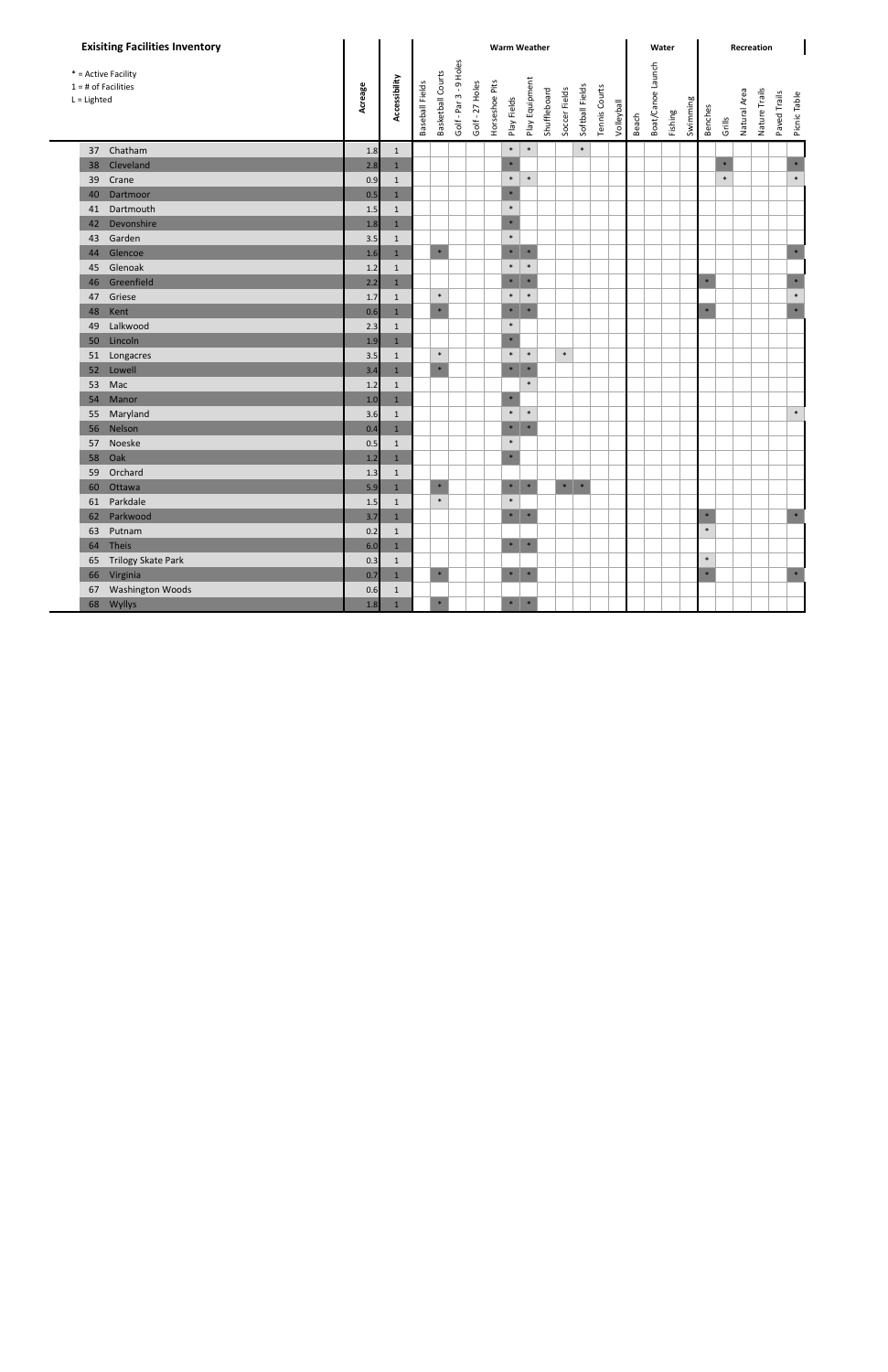| <b>Exisiting Facilities Inventory</b>                         |         |                |                 |                   |                        |                 |                | <b>Warm Weather</b>   |                |              |                       |                 |               |            |       | Water             |         |          |                |        |              | Recreation    |              |              |
|---------------------------------------------------------------|---------|----------------|-----------------|-------------------|------------------------|-----------------|----------------|-----------------------|----------------|--------------|-----------------------|-----------------|---------------|------------|-------|-------------------|---------|----------|----------------|--------|--------------|---------------|--------------|--------------|
| * = Active Facility<br>$1 = #$ of Facilities<br>$L =$ Lighted | Acreage | Accessibility  | Baseball Fields | Basketball Courts | Golf - Par 3 - 9 Holes | Golf - 27 Holes | Horseshoe Pits | Play Fields           | Play Equipment | Shuffleboard | Soccer Fields         | Softball Fields | Tennis Courts | Volleyball | Beach | Boat/Canoe Launch | Fishing | Swimming | <b>Benches</b> | Grills | Natural Area | Nature Trails | Paved Trails | Picnic Table |
| Chatham<br>37                                                 | 1.8     | $\mathbf{1}$   |                 |                   |                        |                 |                | $\ast$                | $\ast$         |              |                       | $\ast$          |               |            |       |                   |         |          |                |        |              |               |              |              |
| Cleveland<br>38                                               | 2.8     | $\mathbf{1}$   |                 |                   |                        |                 |                | $\ast$                |                |              |                       |                 |               |            |       |                   |         |          |                | $\ast$ |              |               |              | $\ast$       |
| 39<br>Crane                                                   | 0.9     | $\mathbf 1$    |                 |                   |                        |                 |                | $\ast$                | $\ast$         |              |                       |                 |               |            |       |                   |         |          |                | $\ast$ |              |               |              | $\pmb{\ast}$ |
| Dartmoor<br>40                                                | 0.5     | $1\,$          |                 |                   |                        |                 |                | $\ast$                |                |              |                       |                 |               |            |       |                   |         |          |                |        |              |               |              |              |
| Dartmouth<br>41                                               | 1.5     | $\mathbf{1}$   |                 |                   |                        |                 |                | $\ast$                |                |              |                       |                 |               |            |       |                   |         |          |                |        |              |               |              |              |
| Devonshire<br>42                                              | 1.8     | $\mathbf{1}$   |                 |                   |                        |                 |                | $\ast$                |                |              |                       |                 |               |            |       |                   |         |          |                |        |              |               |              |              |
| Garden<br>43                                                  | 3.5     | $\mathbf{1}$   |                 |                   |                        |                 |                | $\ast$                |                |              |                       |                 |               |            |       |                   |         |          |                |        |              |               |              |              |
| Glencoe<br>44                                                 | 1.6     | $\mathbf{1}$   |                 | $\ast$            |                        |                 |                | $\ast$                | $\ast$         |              |                       |                 |               |            |       |                   |         |          |                |        |              |               |              | $\ast$       |
| Glenoak<br>45                                                 | 1.2     | $\mathbf{1}$   |                 |                   |                        |                 |                | $\ast$                | $\ast$         |              |                       |                 |               |            |       |                   |         |          |                |        |              |               |              |              |
| Greenfield<br>46                                              | 2.2     | $\overline{1}$ |                 |                   |                        |                 |                | $\ast$                | $\ast$         |              |                       |                 |               |            |       |                   |         |          | $*$            |        |              |               |              | $\ast$       |
| Griese<br>47                                                  | 1.7     | $\mathbf{1}$   |                 | $\ast$            |                        |                 |                | $\ast$                | $\ast$         |              |                       |                 |               |            |       |                   |         |          |                |        |              |               |              | $\ast$       |
| 48<br>Kent                                                    | 0.6     | $\mathbf 1$    |                 | $*$               |                        |                 |                | $\ast$                | $\ast$         |              |                       |                 |               |            |       |                   |         |          | $\ast$         |        |              |               |              | $\ast$       |
| Lalkwood<br>49                                                | 2.3     | $\mathbf 1$    |                 |                   |                        |                 |                | $\ast$                |                |              |                       |                 |               |            |       |                   |         |          |                |        |              |               |              |              |
| Lincoln<br>50                                                 | 1.9     | $\mathbf 1$    |                 |                   |                        |                 |                | $\ast$                |                |              |                       |                 |               |            |       |                   |         |          |                |        |              |               |              |              |
| 51<br>Longacres                                               | 3.5     | $\mathbf{1}$   |                 | $\ast$            |                        |                 |                | $\ast$                | $\ast$         |              | $\ast$                |                 |               |            |       |                   |         |          |                |        |              |               |              |              |
| Lowell<br>52                                                  | 3.4     | $\mathbf{1}$   |                 | $\ast$            |                        |                 |                | $\ast$                | $\ast$         |              |                       |                 |               |            |       |                   |         |          |                |        |              |               |              |              |
| Mac<br>53                                                     | 1.2     | $\mathbf{1}$   |                 |                   |                        |                 |                |                       | $\ast$         |              |                       |                 |               |            |       |                   |         |          |                |        |              |               |              |              |
| Manor<br>54                                                   | 1.0     | $\mathbf{1}$   |                 |                   |                        |                 |                | $\ast$                |                |              |                       |                 |               |            |       |                   |         |          |                |        |              |               |              |              |
| Maryland<br>55                                                | 3.6     | $\mathbf{1}$   |                 |                   |                        |                 |                | $\ast$                | $\ast$         |              |                       |                 |               |            |       |                   |         |          |                |        |              |               |              | $\ast$       |
| Nelson<br>56                                                  | 0.4     | $\overline{1}$ |                 |                   |                        |                 |                | $\ast$                | $\ast$         |              |                       |                 |               |            |       |                   |         |          |                |        |              |               |              |              |
| Noeske<br>57                                                  | 0.5     | $\mathbf{1}$   |                 |                   |                        |                 |                | $\ast$                |                |              |                       |                 |               |            |       |                   |         |          |                |        |              |               |              |              |
| Oak<br>58                                                     | 1.2     | $\mathbf{1}$   |                 |                   |                        |                 |                | $\ast$                |                |              |                       |                 |               |            |       |                   |         |          |                |        |              |               |              |              |
| Orchard<br>59                                                 | 1.3     | $\mathbf 1$    |                 |                   |                        |                 |                |                       |                |              |                       |                 |               |            |       |                   |         |          |                |        |              |               |              |              |
| Ottawa<br>60                                                  | 5.9     | $\mathbf{1}$   |                 | $\ast$            |                        |                 |                | $\ast$                | $\;$ $\;$      |              | $\ast$ $\quad$ $\ast$ |                 |               |            |       |                   |         |          |                |        |              |               |              |              |
| Parkdale<br>61                                                | 1.5     | $\mathbf{1}$   |                 | $\ast$            |                        |                 |                | $\ast$                |                |              |                       |                 |               |            |       |                   |         |          |                |        |              |               |              |              |
| Parkwood<br>62                                                | 3.7     | $1\,$          |                 |                   |                        |                 |                | $\ast$                | $\ast$         |              |                       |                 |               |            |       |                   |         |          | $\ast$         |        |              |               |              | $\ast$       |
| Putnam<br>63                                                  | 0.2     | $\mathbf{1}$   |                 |                   |                        |                 |                |                       |                |              |                       |                 |               |            |       |                   |         |          | $\ast$         |        |              |               |              |              |
| Theis<br>64                                                   | 6.0     | $\mathbf{1}$   |                 |                   |                        |                 |                | $*$   $*$             |                |              |                       |                 |               |            |       |                   |         |          |                |        |              |               |              |              |
| Trilogy Skate Park<br>65                                      | 0.3     | $\mathbf 1$    |                 |                   |                        |                 |                |                       |                |              |                       |                 |               |            |       |                   |         |          | $\ast$         |        |              |               |              |              |
| Virginia<br>66                                                | 0.7     | $\mathbf{1}$   |                 | $\ast$            |                        |                 |                | $\ast$ $\quad$ $\ast$ |                |              |                       |                 |               |            |       |                   |         |          | $\ast$         |        |              |               |              | $\ast$       |
| <b>Washington Woods</b><br>67                                 | 0.6     | $\mathbf{1}$   |                 |                   |                        |                 |                |                       |                |              |                       |                 |               |            |       |                   |         |          |                |        |              |               |              |              |
| Wyllys<br>68                                                  | 1.8     | $\mathbf 1$    |                 | $\ast$            |                        |                 |                | $\ast$   $\ast$       |                |              |                       |                 |               |            |       |                   |         |          |                |        |              |               |              |              |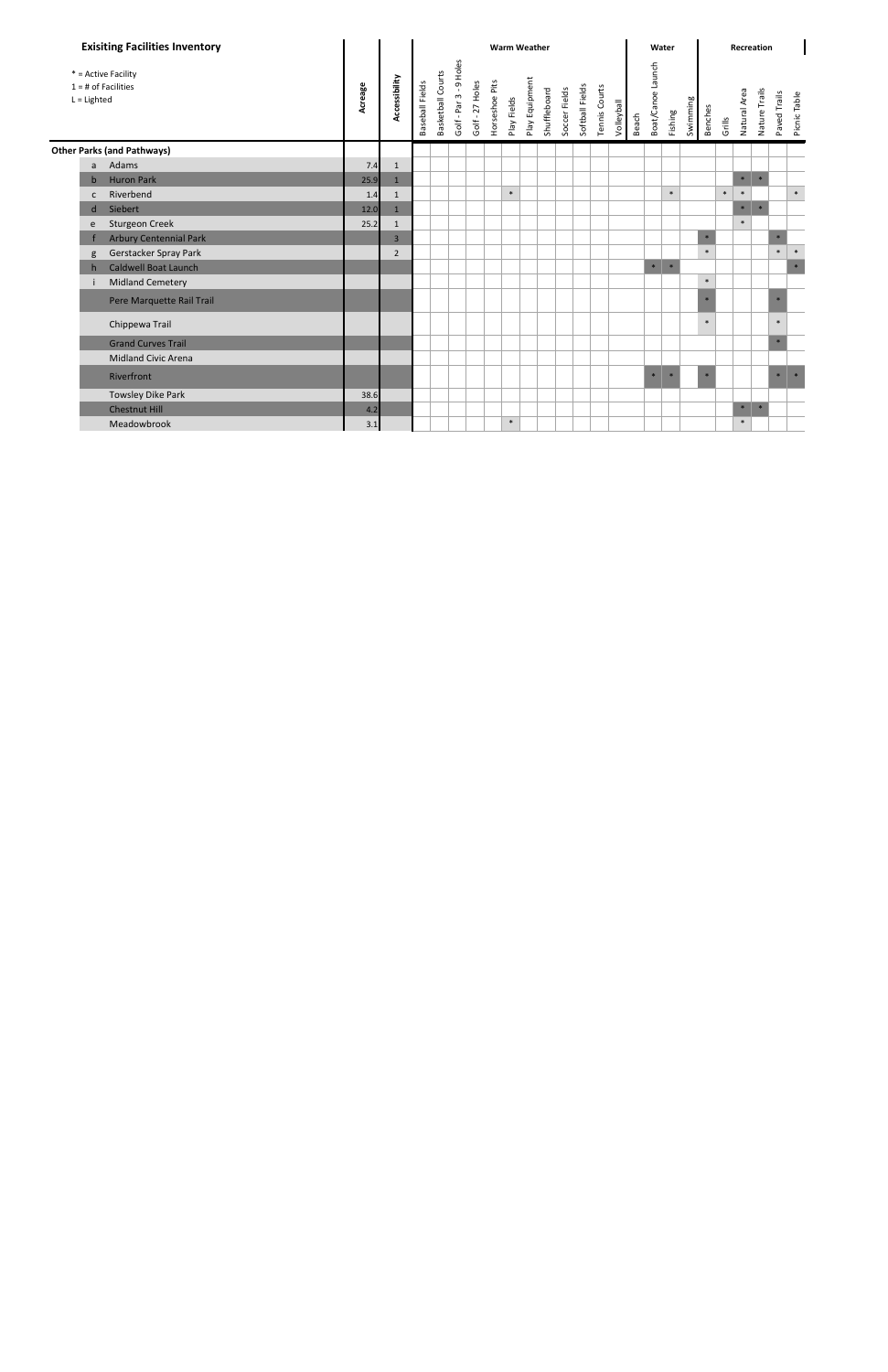| <b>Exisiting Facilities Inventory</b>                         |         | <b>Warm Weather</b> |                 |                   |                        |                 |                |             |                |              |               |                 |               | Water      |       |                   |         | Recreation |         |        |              |               |              |              |
|---------------------------------------------------------------|---------|---------------------|-----------------|-------------------|------------------------|-----------------|----------------|-------------|----------------|--------------|---------------|-----------------|---------------|------------|-------|-------------------|---------|------------|---------|--------|--------------|---------------|--------------|--------------|
| * = Active Facility<br>$1 = #$ of Facilities<br>$L =$ Lighted | Acreage | Accessibility       | Baseball Fields | Basketball Courts | Golf - Par 3 - 9 Holes | Golf - 27 Holes | Horseshoe Pits | Play Fields | Play Equipment | Shuffleboard | Soccer Fields | Softball Fields | Tennis Courts | Volleyball | Beach | Boat/Canoe Launch | Fishing | Swimming   | Benches | Grills | Natural Area | Nature Trails | Paved Trails | Picnic Table |
| <b>Other Parks (and Pathways)</b>                             |         |                     |                 |                   |                        |                 |                |             |                |              |               |                 |               |            |       |                   |         |            |         |        |              |               |              |              |
| Adams<br>a                                                    | 7.4     | $\mathbf{1}$        |                 |                   |                        |                 |                |             |                |              |               |                 |               |            |       |                   |         |            |         |        |              |               |              |              |
| <b>Huron Park</b><br>$\mathbf b$                              | 25.9    | $1\overline{ }$     |                 |                   |                        |                 |                |             |                |              |               |                 |               |            |       |                   |         |            |         |        | $\ast$       | $\ast$        |              |              |
| Riverbend<br>$\mathsf{C}$                                     | 1.4     | $\mathbf{1}$        |                 |                   |                        |                 |                | $\ast$      |                |              |               |                 |               |            |       |                   | $\ast$  |            |         | $\ast$ | $\ast$       |               |              | $\ast$       |
| Siebert<br>d                                                  | 12.0    | $\mathbf{1}$        |                 |                   |                        |                 |                |             |                |              |               |                 |               |            |       |                   |         |            |         |        | $\ast$       | $\ast$        |              |              |
| <b>Sturgeon Creek</b><br>e                                    | 25.2    | 1                   |                 |                   |                        |                 |                |             |                |              |               |                 |               |            |       |                   |         |            |         |        | $\ast$       |               |              |              |
| <b>Arbury Centennial Park</b>                                 |         | $\overline{3}$      |                 |                   |                        |                 |                |             |                |              |               |                 |               |            |       |                   |         |            | $\ast$  |        |              |               | $\ast$       |              |
| Gerstacker Spray Park<br>g                                    |         | $\overline{2}$      |                 |                   |                        |                 |                |             |                |              |               |                 |               |            |       |                   |         |            | $\ast$  |        |              |               | $\ast$       | $\ast$       |
| <b>Caldwell Boat Launch</b><br>h                              |         |                     |                 |                   |                        |                 |                |             |                |              |               |                 |               |            |       | $\ast$            | $\ast$  |            |         |        |              |               |              | $\ast$       |
| <b>Midland Cemetery</b>                                       |         |                     |                 |                   |                        |                 |                |             |                |              |               |                 |               |            |       |                   |         |            | $\ast$  |        |              |               |              |              |
| Pere Marquette Rail Trail                                     |         |                     |                 |                   |                        |                 |                |             |                |              |               |                 |               |            |       |                   |         |            |         |        |              |               |              |              |
| Chippewa Trail                                                |         |                     |                 |                   |                        |                 |                |             |                |              |               |                 |               |            |       |                   |         |            | $\ast$  |        |              |               | $\ast$       |              |
| <b>Grand Curves Trail</b>                                     |         |                     |                 |                   |                        |                 |                |             |                |              |               |                 |               |            |       |                   |         |            |         |        |              |               | $\ast$       |              |
| <b>Midland Civic Arena</b>                                    |         |                     |                 |                   |                        |                 |                |             |                |              |               |                 |               |            |       |                   |         |            |         |        |              |               |              |              |
| Riverfront                                                    |         |                     |                 |                   |                        |                 |                |             |                |              |               |                 |               |            |       | $\ast$            |         |            | $\ast$  |        |              |               | $\ast$       | $\ast$       |
| Towsley Dike Park                                             | 38.6    |                     |                 |                   |                        |                 |                |             |                |              |               |                 |               |            |       |                   |         |            |         |        |              |               |              |              |
| <b>Chestnut Hill</b>                                          | 4.2     |                     |                 |                   |                        |                 |                |             |                |              |               |                 |               |            |       |                   |         |            |         |        | $\ast$       | $\ast$        |              |              |
| Meadowbrook                                                   | 3.1     |                     |                 |                   |                        |                 |                | $\ast$      |                |              |               |                 |               |            |       |                   |         |            |         |        | $\ast$       |               |              |              |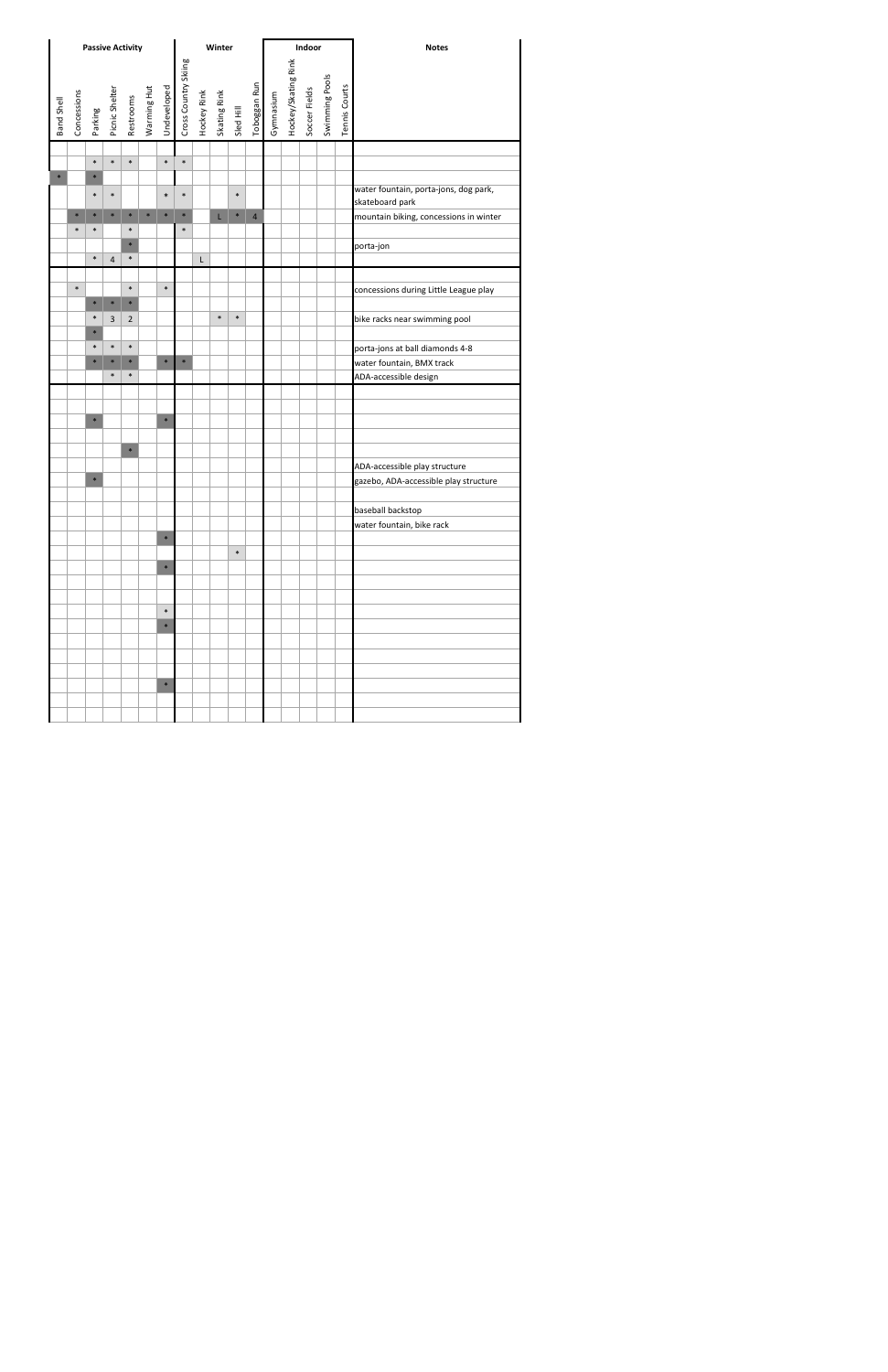|            | <b>Passive Activity</b> |                  |        |                  |                                                       |        |                                     |   | Winter                                   |        |                |           |                     | Indoor        |                |                      | <b>Notes</b>                                             |
|------------|-------------------------|------------------|--------|------------------|-------------------------------------------------------|--------|-------------------------------------|---|------------------------------------------|--------|----------------|-----------|---------------------|---------------|----------------|----------------------|----------------------------------------------------------|
| Band Shell | Concessions             |                  |        |                  | Parking<br>Picnic Shelter<br>Restrooms<br>Warming Hut |        | Undeveloped<br>Cross Country Skiing |   | Hockey Rink<br>Skating Rink<br>Sled Hill |        | Toboggan Run   | Gymnasium | Hockey/Skating Rink | Soccer Fields | Swimming Pools | <b>Tennis Courts</b> |                                                          |
|            |                         |                  |        |                  |                                                       |        |                                     |   |                                          |        |                |           |                     |               |                |                      |                                                          |
|            |                         | $\ast$           | $\ast$ | $\ast$           |                                                       | $\ast$ | $\ast$                              |   |                                          |        |                |           |                     |               |                |                      |                                                          |
|            |                         | $\ast$<br>$\ast$ | $\ast$ |                  |                                                       | $\ast$ | $\ast$                              |   |                                          | $\ast$ |                |           |                     |               |                |                      | water fountain, porta-jons, dog park,<br>skateboard park |
|            | $\ast$                  | $\ast$           | $\ast$ | $\ast$           | $\ast$                                                | $\ast$ | $\ast$                              |   | L.                                       | $\ast$ | $\overline{4}$ |           |                     |               |                |                      | mountain biking, concessions in winter                   |
|            | $\ast$                  | $\ast$           |        | $\ast$           |                                                       |        | $\ast$                              |   |                                          |        |                |           |                     |               |                |                      |                                                          |
|            |                         |                  |        | $\ast$           |                                                       |        |                                     |   |                                          |        |                |           |                     |               |                |                      | porta-jon                                                |
|            |                         | $\ast$           | 4      | $\ast$           |                                                       |        |                                     | L |                                          |        |                |           |                     |               |                |                      |                                                          |
|            | $\ast$                  | $\ast$           | $\ast$ | $\ast$<br>$\ast$ |                                                       | $\ast$ |                                     |   |                                          |        |                |           |                     |               |                |                      | concessions during Little League play                    |
|            |                         | $\ast$           | 3      | $\overline{2}$   |                                                       |        |                                     |   | $\ast$                                   | $\ast$ |                |           |                     |               |                |                      | bike racks near swimming pool                            |
|            |                         | $\ast$           |        |                  |                                                       |        |                                     |   |                                          |        |                |           |                     |               |                |                      |                                                          |
|            |                         | $\ast$           | $\ast$ | $\ast$           |                                                       |        |                                     |   |                                          |        |                |           |                     |               |                |                      | porta-jons at ball diamonds 4-8                          |
|            |                         | $\ast$           | $\ast$ | $*$              |                                                       | $\ast$ | $\ast$                              |   |                                          |        |                |           |                     |               |                |                      | water fountain, BMX track                                |
|            |                         |                  | $\ast$ | $\ast$           |                                                       |        |                                     |   |                                          |        |                |           |                     |               |                |                      | ADA-accessible design                                    |
|            |                         |                  |        |                  |                                                       |        |                                     |   |                                          |        |                |           |                     |               |                |                      |                                                          |
|            |                         | $\ast$           |        |                  |                                                       | $\ast$ |                                     |   |                                          |        |                |           |                     |               |                |                      |                                                          |
|            |                         |                  |        |                  |                                                       |        |                                     |   |                                          |        |                |           |                     |               |                |                      |                                                          |
|            |                         |                  |        | $\ast$           |                                                       |        |                                     |   |                                          |        |                |           |                     |               |                |                      |                                                          |
|            |                         |                  |        |                  |                                                       |        |                                     |   |                                          |        |                |           |                     |               |                |                      | ADA-accessible play structure                            |
|            |                         | $\ast$           |        |                  |                                                       |        |                                     |   |                                          |        |                |           |                     |               |                |                      | gazebo, ADA-accessible play structure                    |
|            |                         |                  |        |                  |                                                       |        |                                     |   |                                          |        |                |           |                     |               |                |                      |                                                          |
|            |                         |                  |        |                  |                                                       |        |                                     |   |                                          |        |                |           |                     |               |                |                      | baseball backstop                                        |
|            |                         |                  |        |                  |                                                       |        |                                     |   |                                          |        |                |           |                     |               |                |                      | water fountain, bike rack                                |
|            |                         |                  |        |                  |                                                       | $\ast$ |                                     |   |                                          |        |                |           |                     |               |                |                      |                                                          |
|            |                         |                  |        |                  |                                                       |        |                                     |   |                                          | $\ast$ |                |           |                     |               |                |                      |                                                          |
|            |                         |                  |        |                  |                                                       | $\ast$ |                                     |   |                                          |        |                |           |                     |               |                |                      |                                                          |
|            |                         |                  |        |                  |                                                       |        |                                     |   |                                          |        |                |           |                     |               |                |                      |                                                          |
|            |                         |                  |        |                  |                                                       | $\ast$ |                                     |   |                                          |        |                |           |                     |               |                |                      |                                                          |
|            |                         |                  |        |                  |                                                       | $\ast$ |                                     |   |                                          |        |                |           |                     |               |                |                      |                                                          |
|            |                         |                  |        |                  |                                                       |        |                                     |   |                                          |        |                |           |                     |               |                |                      |                                                          |
|            |                         |                  |        |                  |                                                       |        |                                     |   |                                          |        |                |           |                     |               |                |                      |                                                          |
|            |                         |                  |        |                  |                                                       |        |                                     |   |                                          |        |                |           |                     |               |                |                      |                                                          |
|            |                         |                  |        |                  |                                                       | $\ast$ |                                     |   |                                          |        |                |           |                     |               |                |                      |                                                          |
|            |                         |                  |        |                  |                                                       |        |                                     |   |                                          |        |                |           |                     |               |                |                      |                                                          |
|            |                         |                  |        |                  |                                                       |        |                                     |   |                                          |        |                |           |                     |               |                |                      |                                                          |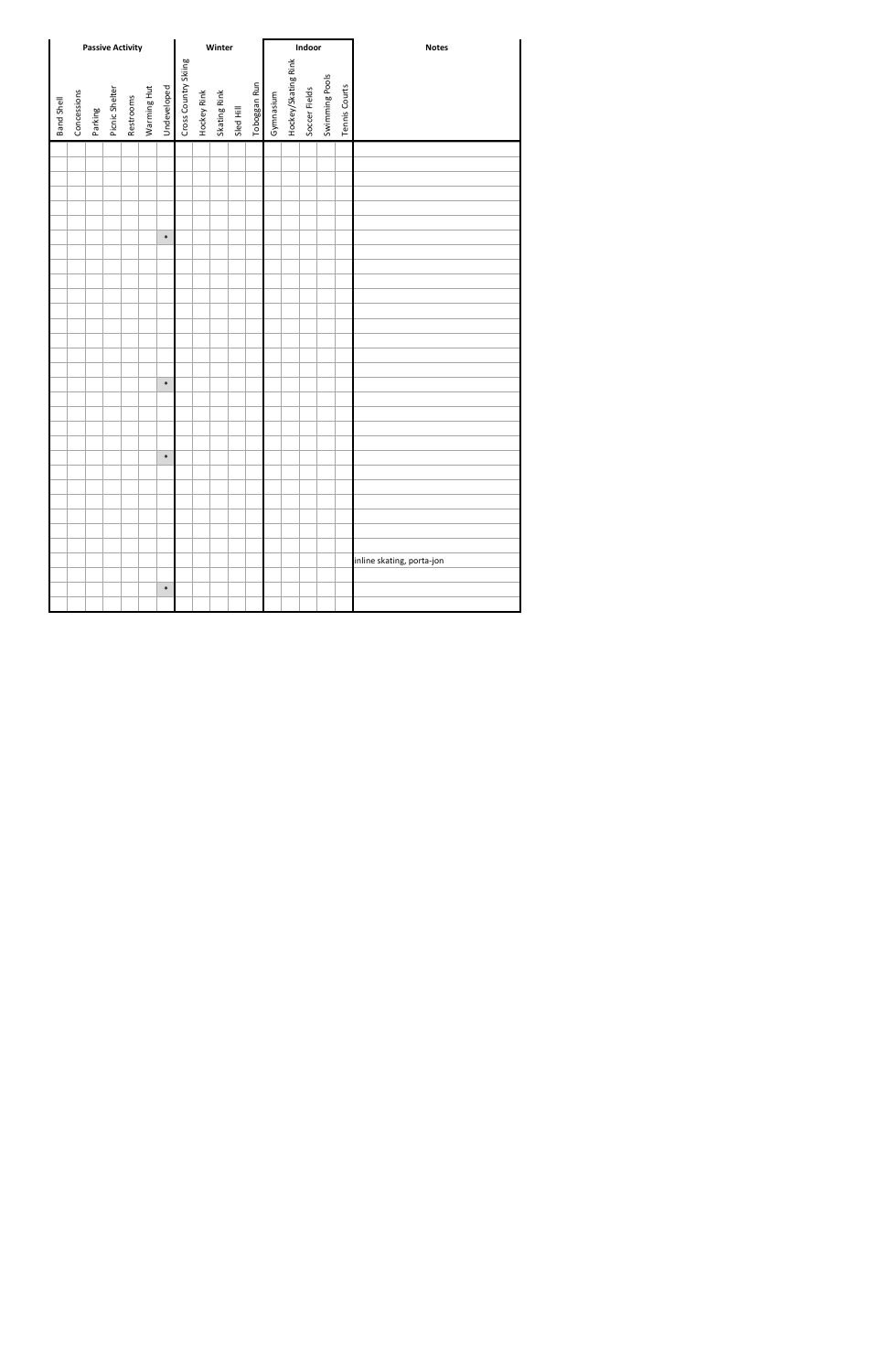|            | <b>Passive Activity</b> |         |                |           |             |             |                      |             | Winter       |           |              |           |                     | Indoor        |                |               | <b>Notes</b>              |
|------------|-------------------------|---------|----------------|-----------|-------------|-------------|----------------------|-------------|--------------|-----------|--------------|-----------|---------------------|---------------|----------------|---------------|---------------------------|
| Band Shell | Concessions             | Parking | Picnic Shelter | Restrooms | Warming Hut | Undeveloped | Cross Country Skiing | Hockey Rink | Skating Rink | Sled Hill | Toboggan Run | Gymnasium | Hockey/Skating Rink | Soccer Fields | Swimming Pools | Tennis Courts |                           |
|            |                         |         |                |           |             |             |                      |             |              |           |              |           |                     |               |                |               |                           |
|            |                         |         |                |           |             |             |                      |             |              |           |              |           |                     |               |                |               |                           |
|            |                         |         |                |           |             |             |                      |             |              |           |              |           |                     |               |                |               |                           |
|            |                         |         |                |           |             |             |                      |             |              |           |              |           |                     |               |                |               |                           |
|            |                         |         |                |           |             |             |                      |             |              |           |              |           |                     |               |                |               |                           |
|            |                         |         |                |           |             | $\ast$      |                      |             |              |           |              |           |                     |               |                |               |                           |
|            |                         |         |                |           |             |             |                      |             |              |           |              |           |                     |               |                |               |                           |
|            |                         |         |                |           |             |             |                      |             |              |           |              |           |                     |               |                |               |                           |
|            |                         |         |                |           |             |             |                      |             |              |           |              |           |                     |               |                |               |                           |
|            |                         |         |                |           |             |             |                      |             |              |           |              |           |                     |               |                |               |                           |
|            |                         |         |                |           |             |             |                      |             |              |           |              |           |                     |               |                |               |                           |
|            |                         |         |                |           |             |             |                      |             |              |           |              |           |                     |               |                |               |                           |
|            |                         |         |                |           |             |             |                      |             |              |           |              |           |                     |               |                |               |                           |
|            |                         |         |                |           |             |             |                      |             |              |           |              |           |                     |               |                |               |                           |
|            |                         |         |                |           |             |             |                      |             |              |           |              |           |                     |               |                |               |                           |
|            |                         |         |                |           |             | $\ast$      |                      |             |              |           |              |           |                     |               |                |               |                           |
|            |                         |         |                |           |             |             |                      |             |              |           |              |           |                     |               |                |               |                           |
|            |                         |         |                |           |             |             |                      |             |              |           |              |           |                     |               |                |               |                           |
|            |                         |         |                |           |             |             |                      |             |              |           |              |           |                     |               |                |               |                           |
|            |                         |         |                |           |             |             |                      |             |              |           |              |           |                     |               |                |               |                           |
|            |                         |         |                |           |             | $\ast$      |                      |             |              |           |              |           |                     |               |                |               |                           |
|            |                         |         |                |           |             |             |                      |             |              |           |              |           |                     |               |                |               |                           |
|            |                         |         |                |           |             |             |                      |             |              |           |              |           |                     |               |                |               |                           |
|            |                         |         |                |           |             |             |                      |             |              |           |              |           |                     |               |                |               |                           |
|            |                         |         |                |           |             |             |                      |             |              |           |              |           |                     |               |                |               |                           |
|            |                         |         |                |           |             |             |                      |             |              |           |              |           |                     |               |                |               |                           |
|            |                         |         |                |           |             |             |                      |             |              |           |              |           |                     |               |                |               |                           |
|            |                         |         |                |           |             |             |                      |             |              |           |              |           |                     |               |                |               | inline skating, porta-jon |
|            |                         |         |                |           |             | $\ast$      |                      |             |              |           |              |           |                     |               |                |               |                           |
|            |                         |         |                |           |             |             |                      |             |              |           |              |           |                     |               |                |               |                           |